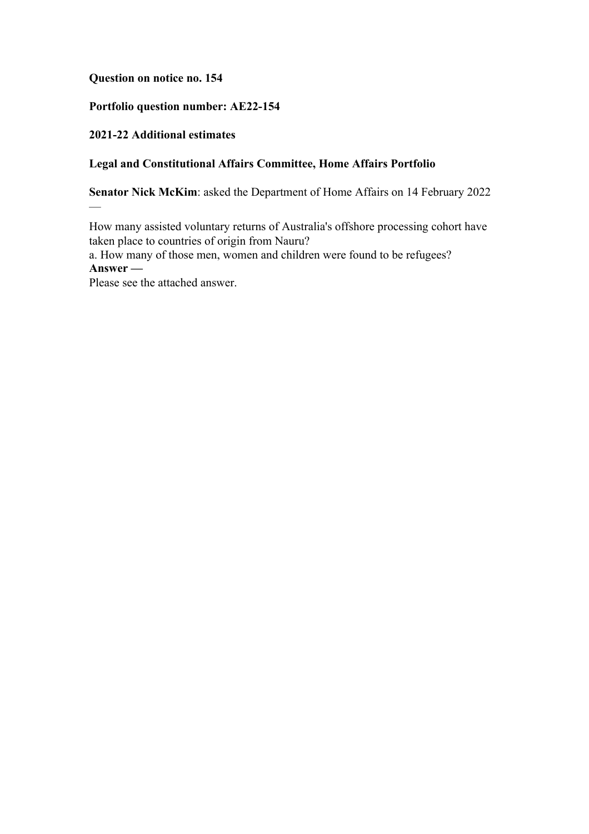**Question on notice no. 154**

## **Portfolio question number: AE22-154**

# **2021-22 Additional estimates**

—

# **Legal and Constitutional Affairs Committee, Home Affairs Portfolio**

**Senator Nick McKim**: asked the Department of Home Affairs on 14 February 2022

How many assisted voluntary returns of Australia's offshore processing cohort have taken place to countries of origin from Nauru?

a. How many of those men, women and children were found to be refugees? **Answer —**

Please see the attached answer.